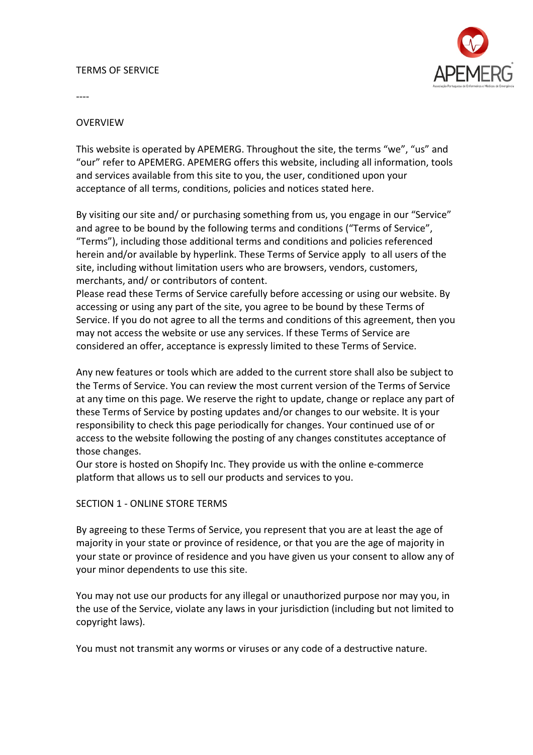### TERMS OF SERVICE



----

### OVERVIEW

This website is operated by APEMERG. Throughout the site, the terms "we", "us" and "our" refer to APEMERG. APEMERG offers this website, including all information, tools and services available from this site to you, the user, conditioned upon your acceptance of all terms, conditions, policies and notices stated here.

By visiting our site and/ or purchasing something from us, you engage in our "Service" and agree to be bound by the following terms and conditions ("Terms of Service", "Terms"), including those additional terms and conditions and policies referenced herein and/or available by hyperlink. These Terms of Service apply to all users of the site, including without limitation users who are browsers, vendors, customers, merchants, and/ or contributors of content.

Please read these Terms of Service carefully before accessing or using our website. By accessing or using any part of the site, you agree to be bound by these Terms of Service. If you do not agree to all the terms and conditions of this agreement, then you may not access the website or use any services. If these Terms of Service are considered an offer, acceptance is expressly limited to these Terms of Service.

Any new features or tools which are added to the current store shall also be subject to the Terms of Service. You can review the most current version of the Terms of Service at any time on this page. We reserve the right to update, change or replace any part of these Terms of Service by posting updates and/or changes to our website. It is your responsibility to check this page periodically for changes. Your continued use of or access to the website following the posting of any changes constitutes acceptance of those changes.

Our store is hosted on Shopify Inc. They provide us with the online e-commerce platform that allows us to sell our products and services to you.

### SECTION 1 - ONLINE STORE TERMS

By agreeing to these Terms of Service, you represent that you are at least the age of majority in your state or province of residence, or that you are the age of majority in your state or province of residence and you have given us your consent to allow any of your minor dependents to use this site.

You may not use our products for any illegal or unauthorized purpose nor may you, in the use of the Service, violate any laws in your jurisdiction (including but not limited to copyright laws).

You must not transmit any worms or viruses or any code of a destructive nature.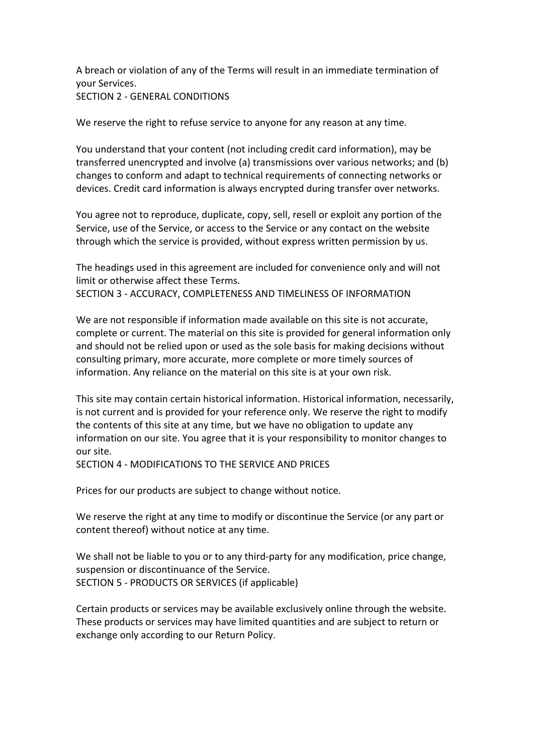A breach or violation of any of the Terms will result in an immediate termination of your Services.

SECTION 2 - GENERAL CONDITIONS

We reserve the right to refuse service to anyone for any reason at any time.

You understand that your content (not including credit card information), may be transferred unencrypted and involve (a) transmissions over various networks; and (b) changes to conform and adapt to technical requirements of connecting networks or devices. Credit card information is always encrypted during transfer over networks.

You agree not to reproduce, duplicate, copy, sell, resell or exploit any portion of the Service, use of the Service, or access to the Service or any contact on the website through which the service is provided, without express written permission by us.

The headings used in this agreement are included for convenience only and will not limit or otherwise affect these Terms. SECTION 3 - ACCURACY, COMPLETENESS AND TIMELINESS OF INFORMATION

We are not responsible if information made available on this site is not accurate, complete or current. The material on this site is provided for general information only and should not be relied upon or used as the sole basis for making decisions without consulting primary, more accurate, more complete or more timely sources of information. Any reliance on the material on this site is at your own risk.

This site may contain certain historical information. Historical information, necessarily, is not current and is provided for your reference only. We reserve the right to modify the contents of this site at any time, but we have no obligation to update any information on our site. You agree that it is your responsibility to monitor changes to our site.

SECTION 4 - MODIFICATIONS TO THE SERVICE AND PRICES

Prices for our products are subject to change without notice.

We reserve the right at any time to modify or discontinue the Service (or any part or content thereof) without notice at any time.

We shall not be liable to you or to any third-party for any modification, price change, suspension or discontinuance of the Service. SECTION 5 - PRODUCTS OR SERVICES (if applicable)

Certain products or services may be available exclusively online through the website. These products or services may have limited quantities and are subject to return or exchange only according to our Return Policy.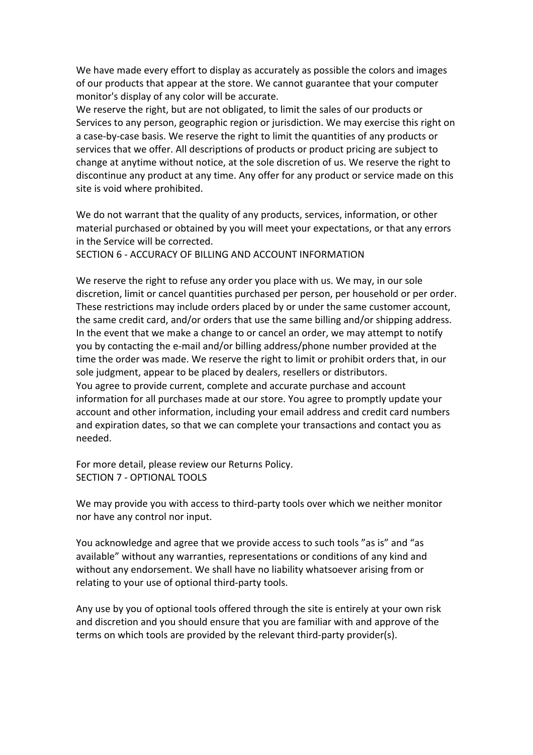We have made every effort to display as accurately as possible the colors and images of our products that appear at the store. We cannot guarantee that your computer monitor's display of any color will be accurate.

We reserve the right, but are not obligated, to limit the sales of our products or Services to any person, geographic region or jurisdiction. We may exercise this right on a case-by-case basis. We reserve the right to limit the quantities of any products or services that we offer. All descriptions of products or product pricing are subject to change at anytime without notice, at the sole discretion of us. We reserve the right to discontinue any product at any time. Any offer for any product or service made on this site is void where prohibited.

We do not warrant that the quality of any products, services, information, or other material purchased or obtained by you will meet your expectations, or that any errors in the Service will be corrected.

SECTION 6 - ACCURACY OF BILLING AND ACCOUNT INFORMATION

We reserve the right to refuse any order you place with us. We may, in our sole discretion, limit or cancel quantities purchased per person, per household or per order. These restrictions may include orders placed by or under the same customer account, the same credit card, and/or orders that use the same billing and/or shipping address. In the event that we make a change to or cancel an order, we may attempt to notify you by contacting the e-mail and/or billing address/phone number provided at the time the order was made. We reserve the right to limit or prohibit orders that, in our sole judgment, appear to be placed by dealers, resellers or distributors. You agree to provide current, complete and accurate purchase and account information for all purchases made at our store. You agree to promptly update your account and other information, including your email address and credit card numbers and expiration dates, so that we can complete your transactions and contact you as needed.

For more detail, please review our Returns Policy. SECTION 7 - OPTIONAL TOOLS

We may provide you with access to third-party tools over which we neither monitor nor have any control nor input.

You acknowledge and agree that we provide access to such tools "as is" and "as available" without any warranties, representations or conditions of any kind and without any endorsement. We shall have no liability whatsoever arising from or relating to your use of optional third-party tools.

Any use by you of optional tools offered through the site is entirely at your own risk and discretion and you should ensure that you are familiar with and approve of the terms on which tools are provided by the relevant third-party provider(s).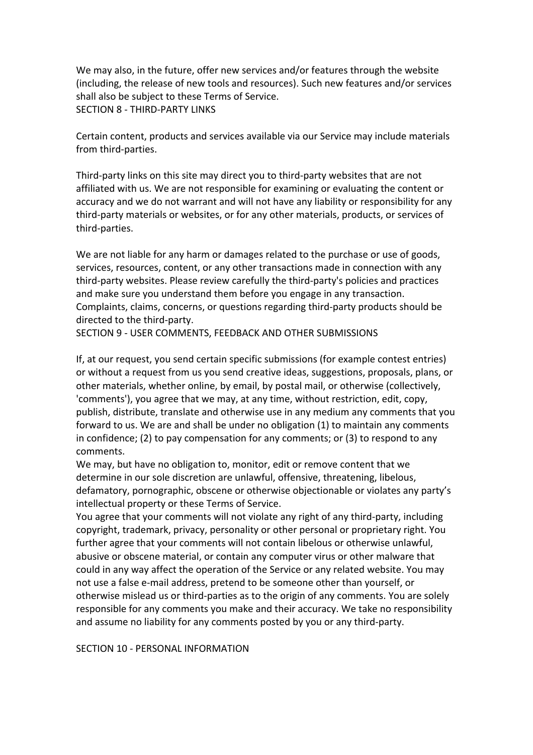We may also, in the future, offer new services and/or features through the website (including, the release of new tools and resources). Such new features and/or services shall also be subject to these Terms of Service. SECTION 8 - THIRD-PARTY LINKS

Certain content, products and services available via our Service may include materials from third-parties.

Third-party links on this site may direct you to third-party websites that are not affiliated with us. We are not responsible for examining or evaluating the content or accuracy and we do not warrant and will not have any liability or responsibility for any third-party materials or websites, or for any other materials, products, or services of third-parties.

We are not liable for any harm or damages related to the purchase or use of goods, services, resources, content, or any other transactions made in connection with any third-party websites. Please review carefully the third-party's policies and practices and make sure you understand them before you engage in any transaction. Complaints, claims, concerns, or questions regarding third-party products should be directed to the third-party.

SECTION 9 - USER COMMENTS, FEEDBACK AND OTHER SUBMISSIONS

If, at our request, you send certain specific submissions (for example contest entries) or without a request from us you send creative ideas, suggestions, proposals, plans, or other materials, whether online, by email, by postal mail, or otherwise (collectively, 'comments'), you agree that we may, at any time, without restriction, edit, copy, publish, distribute, translate and otherwise use in any medium any comments that you forward to us. We are and shall be under no obligation (1) to maintain any comments in confidence; (2) to pay compensation for any comments; or (3) to respond to any comments.

We may, but have no obligation to, monitor, edit or remove content that we determine in our sole discretion are unlawful, offensive, threatening, libelous, defamatory, pornographic, obscene or otherwise objectionable or violates any party's intellectual property or these Terms of Service.

You agree that your comments will not violate any right of any third-party, including copyright, trademark, privacy, personality or other personal or proprietary right. You further agree that your comments will not contain libelous or otherwise unlawful, abusive or obscene material, or contain any computer virus or other malware that could in any way affect the operation of the Service or any related website. You may not use a false e-mail address, pretend to be someone other than yourself, or otherwise mislead us or third-parties as to the origin of any comments. You are solely responsible for any comments you make and their accuracy. We take no responsibility and assume no liability for any comments posted by you or any third-party.

SECTION 10 - PERSONAL INFORMATION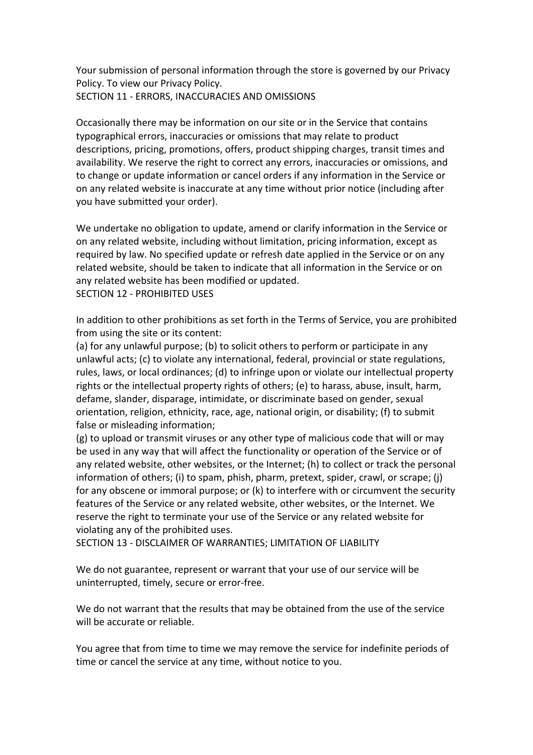Your submission of personal information through the store is governed by our Privacy Policy. To view our Privacy Policy. SECTION 11 - ERRORS, INACCURACIES AND OMISSIONS

Occasionally there may be information on our site or in the Service that contains typographical errors, inaccuracies or omissions that may relate to product descriptions, pricing, promotions, offers, product shipping charges, transit times and availability. We reserve the right to correct any errors, inaccuracies or omissions, and to change or update information or cancel orders if any information in the Service or on any related website is inaccurate at any time without prior notice (including after you have submitted your order).

We undertake no obligation to update, amend or clarify information in the Service or on any related website, including without limitation, pricing information, except as required by law. No specified update or refresh date applied in the Service or on any related website, should be taken to indicate that all information in the Service or on any related website has been modified or updated. SECTION 12 - PROHIBITED USES

In addition to other prohibitions as set forth in the Terms of Service, you are prohibited from using the site or its content:

(a) for any unlawful purpose; (b) to solicit others to perform or participate in any unlawful acts; (c) to violate any international, federal, provincial or state regulations, rules, laws, or local ordinances; (d) to infringe upon or violate our intellectual property rights or the intellectual property rights of others; (e) to harass, abuse, insult, harm, defame, slander, disparage, intimidate, or discriminate based on gender, sexual orientation, religion, ethnicity, race, age, national origin, or disability; (f) to submit false or misleading information;

(g) to upload or transmit viruses or any other type of malicious code that will or may be used in any way that will affect the functionality or operation of the Service or of any related website, other websites, or the Internet; (h) to collect or track the personal information of others; (i) to spam, phish, pharm, pretext, spider, crawl, or scrape; (j) for any obscene or immoral purpose; or (k) to interfere with or circumvent the security features of the Service or any related website, other websites, or the Internet. We reserve the right to terminate your use of the Service or any related website for violating any of the prohibited uses.

SECTION 13 - DISCLAIMER OF WARRANTIES; LIMITATION OF LIABILITY

We do not guarantee, represent or warrant that your use of our service will be uninterrupted, timely, secure or error-free.

We do not warrant that the results that may be obtained from the use of the service will be accurate or reliable.

You agree that from time to time we may remove the service for indefinite periods of time or cancel the service at any time, without notice to you.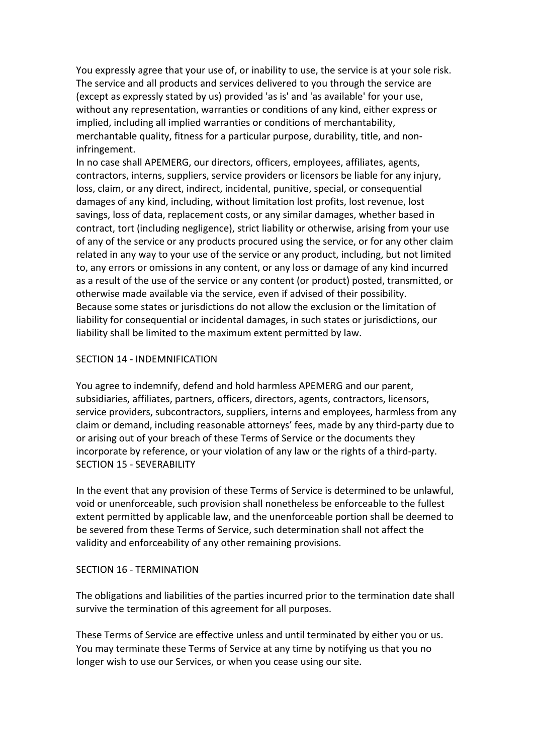You expressly agree that your use of, or inability to use, the service is at your sole risk. The service and all products and services delivered to you through the service are (except as expressly stated by us) provided 'as is' and 'as available' for your use, without any representation, warranties or conditions of any kind, either express or implied, including all implied warranties or conditions of merchantability, merchantable quality, fitness for a particular purpose, durability, title, and noninfringement.

In no case shall APEMERG, our directors, officers, employees, affiliates, agents, contractors, interns, suppliers, service providers or licensors be liable for any injury, loss, claim, or any direct, indirect, incidental, punitive, special, or consequential damages of any kind, including, without limitation lost profits, lost revenue, lost savings, loss of data, replacement costs, or any similar damages, whether based in contract, tort (including negligence), strict liability or otherwise, arising from your use of any of the service or any products procured using the service, or for any other claim related in any way to your use of the service or any product, including, but not limited to, any errors or omissions in any content, or any loss or damage of any kind incurred as a result of the use of the service or any content (or product) posted, transmitted, or otherwise made available via the service, even if advised of their possibility. Because some states or jurisdictions do not allow the exclusion or the limitation of liability for consequential or incidental damages, in such states or jurisdictions, our liability shall be limited to the maximum extent permitted by law.

### SECTION 14 - INDEMNIFICATION

You agree to indemnify, defend and hold harmless APEMERG and our parent, subsidiaries, affiliates, partners, officers, directors, agents, contractors, licensors, service providers, subcontractors, suppliers, interns and employees, harmless from any claim or demand, including reasonable attorneys' fees, made by any third-party due to or arising out of your breach of these Terms of Service or the documents they incorporate by reference, or your violation of any law or the rights of a third-party. SECTION 15 - SEVERABILITY

In the event that any provision of these Terms of Service is determined to be unlawful, void or unenforceable, such provision shall nonetheless be enforceable to the fullest extent permitted by applicable law, and the unenforceable portion shall be deemed to be severed from these Terms of Service, such determination shall not affect the validity and enforceability of any other remaining provisions.

### SECTION 16 - TERMINATION

The obligations and liabilities of the parties incurred prior to the termination date shall survive the termination of this agreement for all purposes.

These Terms of Service are effective unless and until terminated by either you or us. You may terminate these Terms of Service at any time by notifying us that you no longer wish to use our Services, or when you cease using our site.